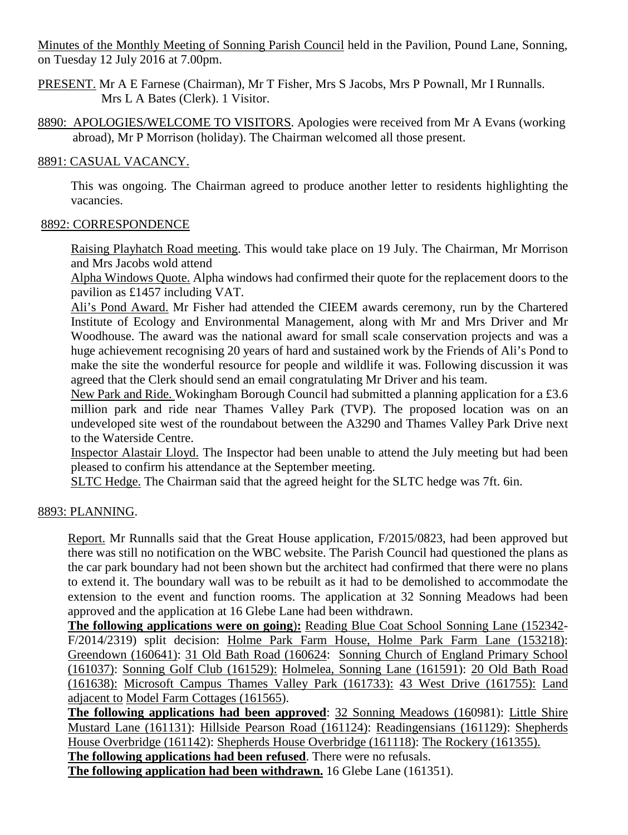Minutes of the Monthly Meeting of Sonning Parish Council held in the Pavilion, Pound Lane, Sonning, on Tuesday 12 July 2016 at 7.00pm.

PRESENT. Mr A E Farnese (Chairman), Mr T Fisher, Mrs S Jacobs, Mrs P Pownall, Mr I Runnalls. Mrs L A Bates (Clerk). 1 Visitor.

8890: APOLOGIES/WELCOME TO VISITORS. Apologies were received from Mr A Evans (working abroad), Mr P Morrison (holiday). The Chairman welcomed all those present.

## 8891: CASUAL VACANCY.

This was ongoing. The Chairman agreed to produce another letter to residents highlighting the vacancies.

## 8892: CORRESPONDENCE

Raising Playhatch Road meeting. This would take place on 19 July. The Chairman, Mr Morrison and Mrs Jacobs wold attend

Alpha Windows Quote. Alpha windows had confirmed their quote for the replacement doors to the pavilion as £1457 including VAT.

Ali's Pond Award. Mr Fisher had attended the CIEEM awards ceremony, run by the Chartered Institute of Ecology and Environmental Management, along with Mr and Mrs Driver and Mr Woodhouse. The award was the national award for small scale conservation projects and was a huge achievement recognising 20 years of hard and sustained work by the Friends of Ali's Pond to make the site the wonderful resource for people and wildlife it was. Following discussion it was agreed that the Clerk should send an email congratulating Mr Driver and his team.

New Park and Ride. Wokingham Borough Council had submitted a planning application for a £3.6 million park and ride near Thames Valley Park (TVP). The proposed location was on an undeveloped site west of the roundabout between the A3290 and Thames Valley Park Drive next to the Waterside Centre.

Inspector Alastair Lloyd. The Inspector had been unable to attend the July meeting but had been pleased to confirm his attendance at the September meeting.

SLTC Hedge. The Chairman said that the agreed height for the SLTC hedge was 7ft. 6in.

# 8893: PLANNING.

Report. Mr Runnalls said that the Great House application, F/2015/0823, had been approved but there was still no notification on the WBC website. The Parish Council had questioned the plans as the car park boundary had not been shown but the architect had confirmed that there were no plans to extend it. The boundary wall was to be rebuilt as it had to be demolished to accommodate the extension to the event and function rooms. The application at 32 Sonning Meadows had been approved and the application at 16 Glebe Lane had been withdrawn.

**The following applications were on going**)**:** Reading Blue Coat School Sonning Lane (152342- F/2014/2319) split decision: Holme Park Farm House, Holme Park Farm Lane (153218): Greendown (160641): 31 Old Bath Road (160624: Sonning Church of England Primary School (161037): Sonning Golf Club (161529): Holmelea, Sonning Lane (161591): 20 Old Bath Road (161638): Microsoft Campus Thames Valley Park (161733): 43 West Drive (161755): Land adjacent to Model Farm Cottages (161565).

**The following applications had been approved**: 32 Sonning Meadows (160981): Little Shire Mustard Lane (161131): Hillside Pearson Road (161124): Readingensians (161129): Shepherds House Overbridge (161142): Shepherds House Overbridge (161118): The Rockery (161355). **The following applications had been refused**. There were no refusals. **The following application had been withdrawn.** 16 Glebe Lane (161351).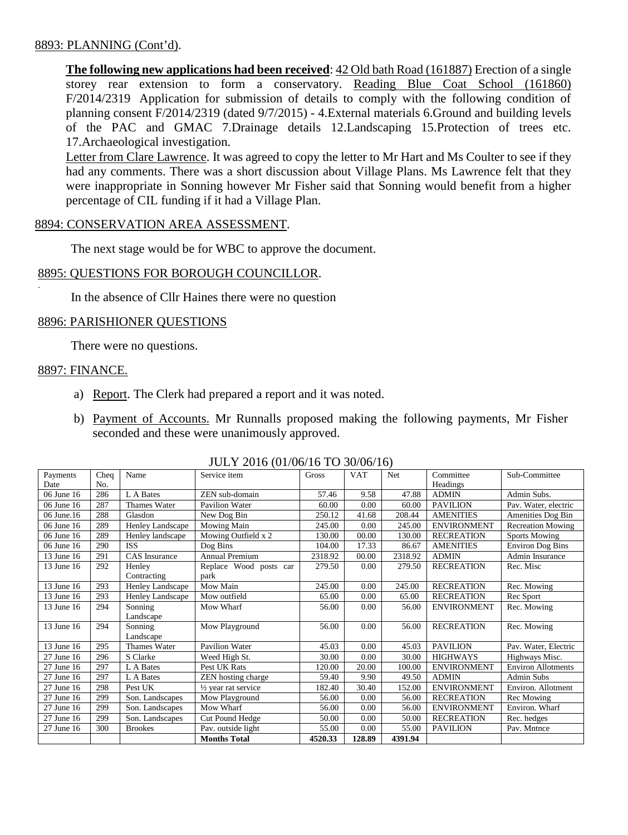## 8893: PLANNING (Cont'd).

**The following new applications had been received**: 42 Old bath Road (161887) Erection of a single storey rear extension to form a conservatory. Reading Blue Coat School (161860) F/2014/2319 Application for submission of details to comply with the following condition of planning consent F/2014/2319 (dated 9/7/2015) - 4.External materials 6.Ground and building levels of the PAC and GMAC 7.Drainage details 12.Landscaping 15.Protection of trees etc. 17.Archaeological investigation.

Letter from Clare Lawrence. It was agreed to copy the letter to Mr Hart and Ms Coulter to see if they had any comments. There was a short discussion about Village Plans. Ms Lawrence felt that they were inappropriate in Sonning however Mr Fisher said that Sonning would benefit from a higher percentage of CIL funding if it had a Village Plan.

### 8894: CONSERVATION AREA ASSESSMENT.

The next stage would be for WBC to approve the document.

## 8895: QUESTIONS FOR BOROUGH COUNCILLOR.

In the absence of Cllr Haines there were no question

### 8896: PARISHIONER QUESTIONS

There were no questions.

#### 8897: FINANCE.

.

- a) Report. The Clerk had prepared a report and it was noted.
- b) Payment of Accounts. Mr Runnalls proposed making the following payments, Mr Fisher seconded and these were unanimously approved.

| Payments   | Cheq | Name             | Service item           | Gross   | <b>VAT</b> | Net     | Committee          | Sub-Committee             |
|------------|------|------------------|------------------------|---------|------------|---------|--------------------|---------------------------|
| Date       | No.  |                  |                        |         |            |         | Headings           |                           |
| 06 June 16 | 286  | L A Bates        | ZEN sub-domain         | 57.46   | 9.58       | 47.88   | <b>ADMIN</b>       | Admin Subs.               |
| 06 June 16 | 287  | Thames Water     | <b>Pavilion Water</b>  | 60.00   | 0.00       | 60.00   | <b>PAVILION</b>    | Pav. Water, electric      |
| 06 June.16 | 288  | Glasdon          | New Dog Bin            | 250.12  | 41.68      | 208.44  | <b>AMENITIES</b>   | Amenities Dog Bin         |
| 06 June 16 | 289  | Henley Landscape | Mowing Main            | 245.00  | 0.00       | 245.00  | <b>ENVIRONMENT</b> | <b>Recreation Mowing</b>  |
| 06 June 16 | 289  | Henley landscape | Mowing Outfield x 2    | 130.00  | 00.00      | 130.00  | <b>RECREATION</b>  | Sports Mowing             |
| 06 June 16 | 290  | <b>ISS</b>       | Dog Bins               | 104.00  | 17.33      | 86.67   | <b>AMENITIES</b>   | Environ Dog Bins          |
| 13 June 16 | 291  | CAS Insurance    | <b>Annual Premium</b>  | 2318.92 | 00.00      | 2318.92 | <b>ADMIN</b>       | Admin Insurance           |
| 13 June 16 | 292  | Henley           | Replace Wood posts car | 279.50  | 0.00       | 279.50  | <b>RECREATION</b>  | Rec. Misc                 |
|            |      | Contracting      | park                   |         |            |         |                    |                           |
| 13 June 16 | 293  | Henley Landscape | Mow Main               | 245.00  | 0.00       | 245.00  | <b>RECREATION</b>  | Rec. Mowing               |
| 13 June 16 | 293  | Henley Landscape | Mow outfield           | 65.00   | 0.00       | 65.00   | <b>RECREATION</b>  | Rec Sport                 |
| 13 June 16 | 294  | Sonning          | Mow Wharf              | 56.00   | 0.00       | 56.00   | <b>ENVIRONMENT</b> | Rec. Mowing               |
|            |      | Landscape        |                        |         |            |         |                    |                           |
| 13 June 16 | 294  | Sonning          | Mow Playground         | 56.00   | 0.00       | 56.00   | <b>RECREATION</b>  | Rec. Mowing               |
|            |      | Landscape        |                        |         |            |         |                    |                           |
| 13 June 16 | 295  | Thames Water     | Pavilion Water         | 45.03   | 0.00       | 45.03   | <b>PAVILION</b>    | Pav. Water, Electric      |
| 27 June 16 | 296  | S Clarke         | Weed High St.          | 30.00   | 0.00       | 30.00   | <b>HIGHWAYS</b>    | Highways Misc.            |
| 27 June 16 | 297  | L A Bates        | Pest UK Rats           | 120.00  | 20.00      | 100.00  | <b>ENVIRONMENT</b> | <b>Environ Allotments</b> |
| 27 June 16 | 297  | L A Bates        | ZEN hosting charge     | 59.40   | 9.90       | 49.50   | <b>ADMIN</b>       | <b>Admin Subs</b>         |
| 27 June 16 | 298  | Pest UK          | 1/2 year rat service   | 182.40  | 30.40      | 152.00  | <b>ENVIRONMENT</b> | Environ. Allotment        |
| 27 June 16 | 299  | Son. Landscapes  | Mow Playground         | 56.00   | 0.00       | 56.00   | <b>RECREATION</b>  | Rec Mowing                |
| 27 June 16 | 299  | Son. Landscapes  | Mow Wharf              | 56.00   | 0.00       | 56.00   | <b>ENVIRONMENT</b> | Environ. Wharf            |
| 27 June 16 | 299  | Son. Landscapes  | Cut Pound Hedge        | 50.00   | 0.00       | 50.00   | <b>RECREATION</b>  | Rec. hedges               |
| 27 June 16 | 300  | <b>Brookes</b>   | Pav. outside light     | 55.00   | 0.00       | 55.00   | <b>PAVILION</b>    | Pav. Mntnce               |
|            |      |                  | <b>Months Total</b>    | 4520.33 | 128.89     | 4391.94 |                    |                           |

#### JULY 2016 (01/06/16 TO 30/06/16)